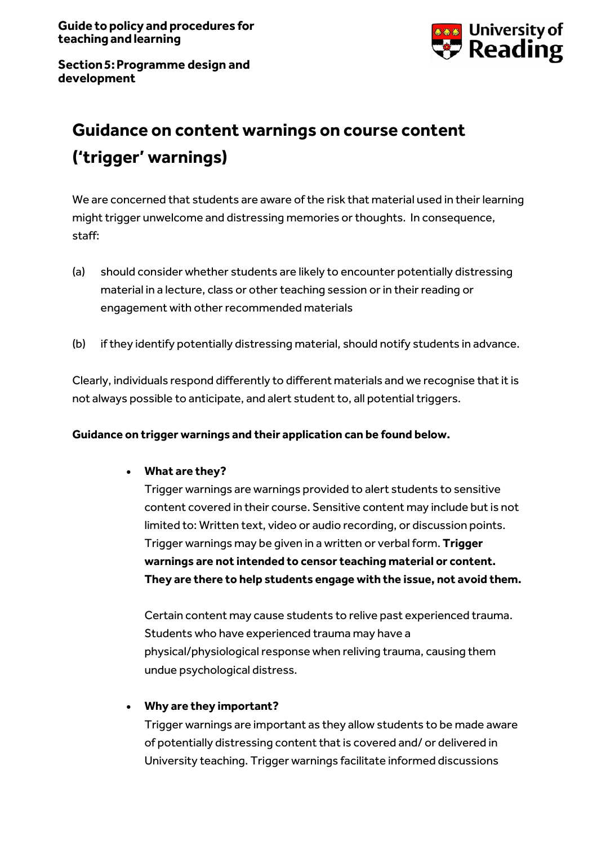

**Section5:Programme design and development**

# **Guidance on content warnings on course content ('trigger' warnings)**

We are concerned that students are aware of the risk that material used in their learning might trigger unwelcome and distressing memories or thoughts. In consequence, staff:

- (a) should consider whether students are likely to encounter potentially distressing material in a lecture, class or other teaching session or in their reading or engagement with other recommended materials
- (b) if they identify potentially distressing material, should notify students in advance.

Clearly, individuals respond differently to different materials and we recognise that it is not always possible to anticipate, and alert student to, all potential triggers.

## **Guidance on trigger warnings and their application can be found below.**

## • **What are they?**

Trigger warnings are warnings provided to alert students to sensitive content covered in their course. Sensitive content may include but is not limited to: Written text, video or audio recording, or discussion points. Trigger warnings may be given in a written or verbal form. **Trigger warnings are not intended to censor teaching material or content. They are there to help students engage with the issue, not avoid them.**

Certain content may cause students to relive past experienced trauma. Students who have experienced trauma may have a physical/physiological response when reliving trauma, causing them undue psychological distress.

## • **Why are they important?**

Trigger warnings are important as they allow students to be made aware of potentially distressing content that is covered and/ or delivered in University teaching. Trigger warnings facilitate informed discussions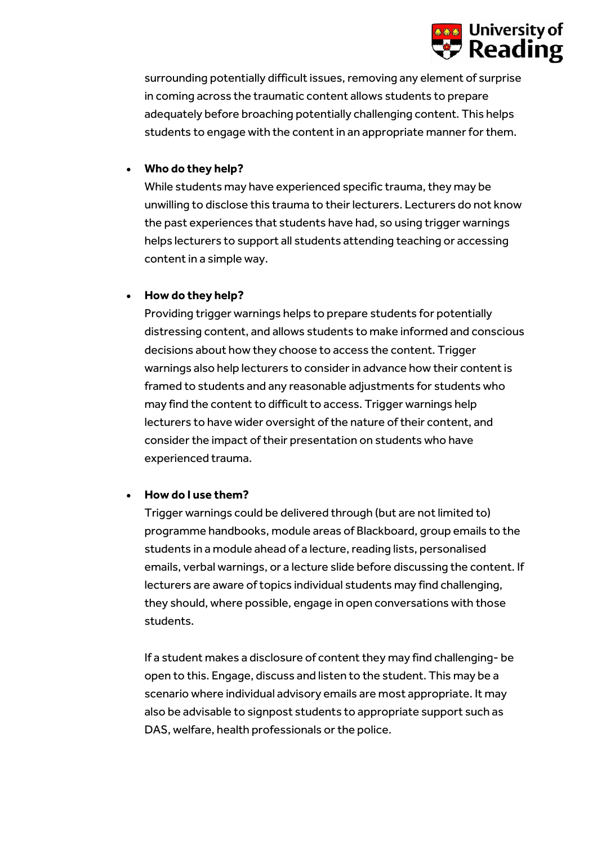

surrounding potentially difficult issues, removing any element of surprise in coming across the traumatic content allows students to prepare adequately before broaching potentially challenging content. This helps students to engage with the content in an appropriate manner for them.

## • **Who do they help?**

While students may have experienced specific trauma, they may be unwilling to disclose this trauma to their lecturers. Lecturers do not know the past experiences that students have had, so using trigger warnings helps lecturers to support all students attending teaching or accessing content in a simple way.

## • **How do they help?**

Providing trigger warnings helps to prepare students for potentially distressing content, and allows students to make informed and conscious decisions about how they choose to access the content. Trigger warnings also help lecturers to consider in advance how their content is framed to students and any reasonable adjustments for students who may find the content to difficult to access. Trigger warnings help lecturers to have wider oversight of the nature of their content, and consider the impact of their presentation on students who have experienced trauma.

## • **How do I use them?**

Trigger warnings could be delivered through (but are not limited to) programme handbooks, module areas of Blackboard, group emails to the students in a module ahead of a lecture, reading lists, personalised emails, verbal warnings, or a lecture slide before discussing the content. If lecturers are aware of topics individual students may find challenging, they should, where possible, engage in open conversations with those students.

If a student makes a disclosure of content they may find challenging- be open to this. Engage, discuss and listen to the student. This may be a scenario where individual advisory emails are most appropriate. It may also be advisable to signpost students to appropriate support such as DAS, welfare, health professionals or the police.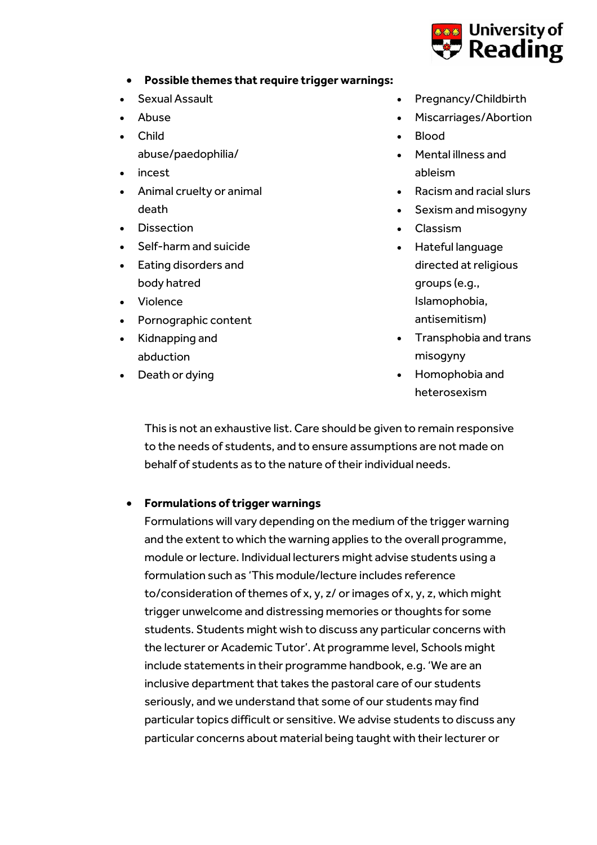

- **Possible themes that require trigger warnings:**
- Sexual Assault
- Abuse
- Child
	- abuse/paedophilia/
- incest
- Animal cruelty or animal death
- Dissection
- Self-harm and suicide
- Eating disorders and body hatred
- Violence
- Pornographic content
- Kidnapping and abduction
- Death or dying
- Pregnancy/Childbirth
- Miscarriages/Abortion
- Blood
- Mental illness and ableism
- Racism and racial slurs
- Sexism and misogyny
- Classism
- Hateful language directed at religious groups (e.g., Islamophobia, antisemitism)
- Transphobia and trans misogyny
- Homophobia and heterosexism

This is not an exhaustive list. Care should be given to remain responsive to the needs of students, and to ensure assumptions are not made on behalf of students as to the nature of their individual needs.

## • **Formulations of trigger warnings**

Formulations will vary depending on the medium of the trigger warning and the extent to which the warning applies to the overall programme, module or lecture. Individual lecturers might advise students using a formulation such as 'This module/lecture includes reference to/consideration of themes of x, y, z/ or images of x, y, z, which might trigger unwelcome and distressing memories or thoughts for some students. Students might wish to discuss any particular concerns with the lecturer or Academic Tutor'. At programme level, Schools might include statements in their programme handbook, e.g. 'We are an inclusive department that takes the pastoral care of our students seriously, and we understand that some of our students may find particular topics difficult or sensitive. We advise students to discuss any particular concerns about material being taught with their lecturer or